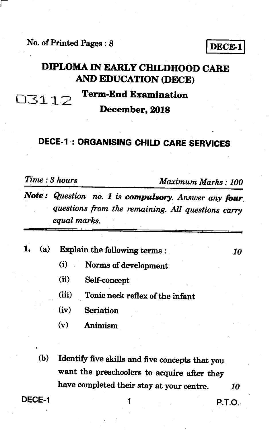**No. of Printed Pages : 8 <b>DECE-1** 

### **DIPLOMA IN EARLY CHILDHOOD CARE AND EDUCATION (DECE)**

# **Term-End Examination**

**December, 2018** 

#### **DECE-1 : ORGANISING CHILD CARE SERVICES**

| Time : 3 hours |  |  |
|----------------|--|--|
|                |  |  |

**03112:.** 

*Time : 3 hours Maximum Marks : 100* 

*Note : Question no. 1 is compulsory. Answer any four questions from the remaining. All questions carry equal marks.* 

|  | 1. (a) Explain the following terms : |  |
|--|--------------------------------------|--|
|  |                                      |  |

- **(i) Norms of development**
- **(ii) Self-concept**
- **(iii) Tonic neck reflex of the infant**
- **(iv) Seriation**
- **(v) Animism**
- **(b) Identify five skills and five concepts that you want the preschoolers to acquire after they have completed their stay at your centre.** *10*

**DECE-1** 1 **P.T.O.**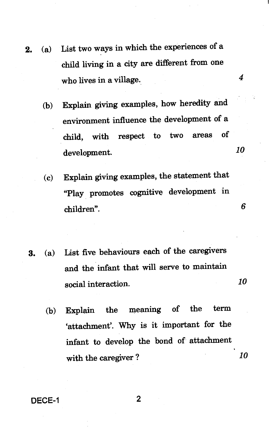- **2. (a) List two ways in which the experiences of a child living in a city are different from one who lives in a village.** *4* 
	- **(b) Explain giving examples, how heredity and environment influence the development of a child, with respect to two areas of development.** *10*
	- **(c) Explain giving examples, the statement that "Play promotes cognitive development in children". 6**
	- **3. (a) List five behaviours each of the caregivers and the infant that will serve to maintain social interaction.** *10* 
		- **(b) Explain the meaning of the term `attachment'. Why is it important for the infant to develop the bond of attachment with the caregiver ?** *10*

**DECE-1 2**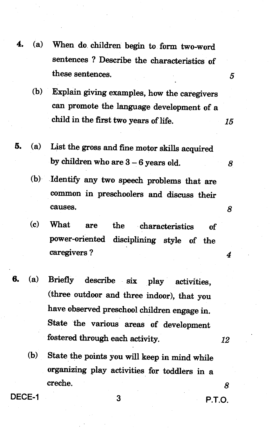- **4. (a) When do children begin to form two-word sentences ? Describe the characteristics of these sentences.** *5* 
	- **(b) Explain giving examples, how the caregivers can promote the language development of a child in the first two years of life.** *15*
- **5. (a) List the gross and fine motor skills acquired by children who are 3 — 6 years old.** 
	- **(b) Identify any two speech problems that are common in preschoolers and discuss their causes.** *8*
	- **(c) What are the characteristics of power-oriented disciplining style of the caregivers ?** *4*
- **6. (a) Briefly describe six play activities, (three outdoor and three indoor), that you have observed preschool children engage in. State the various areas of development fostered through each activity.** *12* 
	- **(b) State the points you will keep in mind while organizing play activities for toddlers in a creche.** *8*

**DECE-1 3 P.T.O.**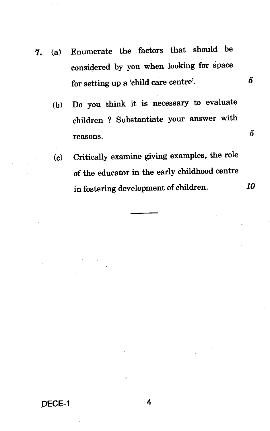- **7.** (a) Enumerate the factors that should be considered by you when looking for space for setting up a 'child care centre'. **5** 
	- (b) Do you think it is necessary to evaluate children ? Substantiate your answer with  $r$ easons.  $5$
	- (c) Critically examine giving examples, the role of the educator in the early childhood centre in fostering development of children. *10*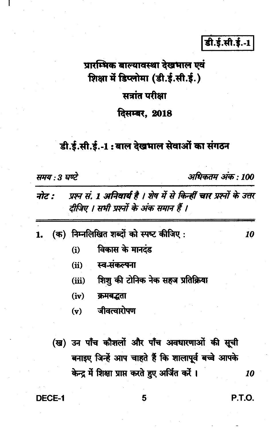डी.ई.सी.ई.-1

# प्रारम्भिक बाल्यावस्था देखभाल एवं शिक्षा में डिप्लोमा (डी.ई.सी.ई.)

# सत्रांत परीक्षा

#### दिसम्बर. 2018

## डी.ई.सी.ई.-1: बाल देखभाल सेवाओं का संगठन

समय : 3 घण्टे

अधिकतम अंक : 100

- प्रश्न सं. 1 अनिवार्य है । शेष में से किन्हीं चार प्रश्नों के उत्तर नोट : दीजिए । सभी प्रश्नों के अंक समान हैं ।
- (क) निम्नलिखित शब्दों को स्पष्ट कीजिए:  $\mathbf{1}$ 
	- विकास के मानदंड  $(i)$
	- स्व-संकल्पना  $(ii)$
	- शिशु की टोनिक नेक सहज प्रतिक्रिया  $(iii)$
	- $(iv)$ क्रमबद्धता
	- जीवत्वारोपण  $(v)$
	- (ख) उन पाँच कौशलों और पाँच अवधारणाओं की सूची बनाइए जिन्हें आप चाहते हैं कि शालापूर्व बच्चे आपके केन्द्र में शिक्षा प्राप्त करते हुए अर्जित करें ।

DECE-1

P.T.O.

10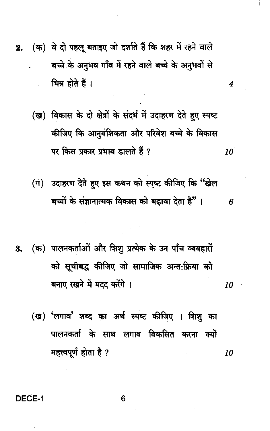- (क) वे दो पहलू बताइए जो दर्शाते हैं कि शहर में रहने वाले  $2.$ बच्चे के अनुभव गाँव में रहने वाले बच्चे के अनुभवों से भिन्न होते हैं ।
	- (ख) विकास के दो क्षेत्रों के संदर्भ में उदाहरण देते हुए स्पष्ट कीजिए कि आनुवंशिकता और परिवेश बच्चे के विकास पर किस प्रकार प्रभाव डालते हैं ? 10

4

- (ग) उदाहरण देते हुए इस कथन को स्पष्ट कीजिए कि "खेल बच्चों के संज्ञानात्मक विकास को बढ़ावा देता है"। 6
- (क) पालनकर्ताओं और शिशु प्रत्येक के उन पाँच व्यवहारों 3. को सूचीबद्ध कीजिए जो सामाजिक अन्त:क्रिया को बनाए रखने में मदद करेंगे । 10
	- (ख) 'लगाव' शब्द का अर्थ स्पष्ट कीजिए । शिशु का पालनकर्ता के साथ लगाव विकसित करना क्यों महत्त्वपूर्ण होता है ? 10

**DECE-1**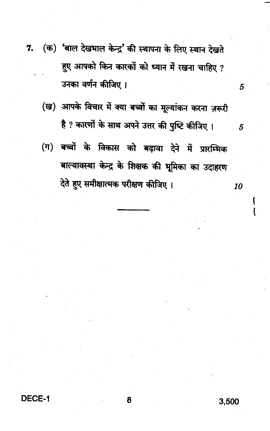- (क) 'बाल देखभाल केन्द्र' की स्थापना के लिए स्थान देखते 7. हुए आपको किन कारकों को ध्यान में रखना चाहिए ? उनका वर्णन कीजिए ।
	- (ख) आपके विचार में क्या बच्चों का मूल्यांकन करना ज़रूरी है ? कारणों के साथ अपने उत्तर की पुष्टि कीजिए ।
	- (ग) बच्चों के विकास को बढ़ावा देने में प्रारम्भिक बाल्यावस्था केन्द्र के शिक्षक की भूमिका का उदाहरण देते हुए समीक्षात्मक परीक्षण कीजिए ।

5

5